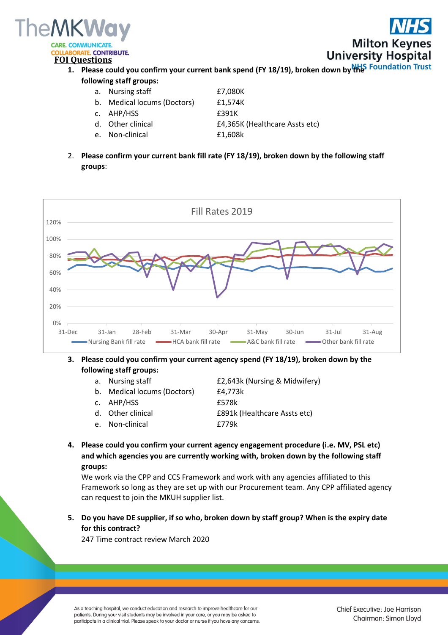



**1.** Please could you confirm your current bank spend (FY 18/19), broken down by the Foundation Trust **following staff groups:**

|    | a. Nursing staff            | £7,080K                        |
|----|-----------------------------|--------------------------------|
|    | b. Medical locums (Doctors) | £1.574K                        |
|    | c. AHP/HSS                  | £391K                          |
|    | d. Other clinical           | £4,365K (Healthcare Assts etc) |
| e. | Non-clinical                | £1,608k                        |

2. **Please confirm your current bank fill rate (FY 18/19), broken down by the following staff groups**:



## **3. Please could you confirm your current agency spend (FY 18/19), broken down by the following staff groups:**

- a. Nursing staff  $E2,643k$  (Nursing & Midwifery)
- b. Medical locums (Doctors) £4,773k
- c. AHP/HSS £578k
- d. Other clinical £891k (Healthcare Assts etc)
- e. Non-clinical £779k
- **4. Please could you confirm your current agency engagement procedure (i.e. MV, PSL etc) and which agencies you are currently working with, broken down by the following staff groups:**

We work via the CPP and CCS Framework and work with any agencies affiliated to this Framework so long as they are set up with our Procurement team. Any CPP affiliated agency can request to join the MKUH supplier list.

**5. Do you have DE supplier, if so who, broken down by staff group? When is the expiry date for this contract?**

247 Time contract review March 2020

As a teaching hospital, we conduct education and research to improve healthcare for our patients. During your visit students may be involved in your care, or you may be asked to participate in a clinical trial. Please speak to your doctor or nurse if you have any concerns.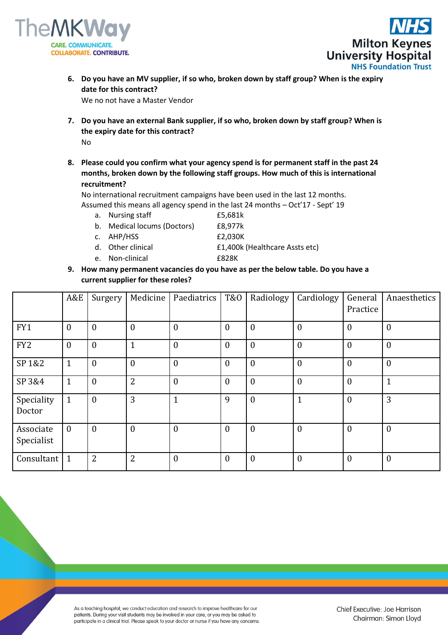



**6. Do you have an MV supplier, if so who, broken down by staff group? When is the expiry date for this contract?**

We no not have a Master Vendor

- **7. Do you have an external Bank supplier, if so who, broken down by staff group? When is the expiry date for this contract?**  No
- **8. Please could you confirm what your agency spend is for permanent staff in the past 24 months, broken down by the following staff groups. How much of this is international recruitment?**

No international recruitment campaigns have been used in the last 12 months. Assumed this means all agency spend in the last 24 months – Oct'17 - Sept' 19

- a. Nursing staff **E5,681k**
- b. Medical locums (Doctors) £8,977k
- c. AHP/HSS £2,030K

- d. Other clinical **E1,400k** (Healthcare Assts etc)
- e. Non-clinical £828K
	-
- **9. How many permanent vacancies do you have as per the below table. Do you have a current supplier for these roles?**

|                         | A&E              | Surgery          | Medicine       | Paediatrics      | <b>T&amp;O</b> | Radiology        | Cardiology       | General<br>Practice | Anaesthetics     |
|-------------------------|------------------|------------------|----------------|------------------|----------------|------------------|------------------|---------------------|------------------|
| FY1                     | $\mathbf{0}$     | $\boldsymbol{0}$ | $\overline{0}$ | $\boldsymbol{0}$ | $\mathbf{0}$   | $\mathbf{0}$     | $\boldsymbol{0}$ | $\overline{0}$      | $\boldsymbol{0}$ |
| FY <sub>2</sub>         | $\mathbf{0}$     | $\mathbf{0}$     | $\mathbf{1}$   | $\overline{0}$   | $\mathbf{0}$   | $\mathbf{0}$     | $\mathbf{0}$     | $\theta$            | $\mathbf{0}$     |
| SP 1&2                  | $\mathbf{1}$     | $\boldsymbol{0}$ | $\mathbf{0}$   | $\mathbf{0}$     | $\mathbf{0}$   | $\boldsymbol{0}$ | $\mathbf{0}$     | $\theta$            | $\mathbf{0}$     |
| SP 3&4                  | $\mathbf{1}$     | $\mathbf{0}$     | $\overline{2}$ | $\boldsymbol{0}$ | $\overline{0}$ | $\boldsymbol{0}$ | $\boldsymbol{0}$ | $\mathbf{0}$        | $\mathbf{1}$     |
| Speciality<br>Doctor    | $\mathbf{1}$     | $\boldsymbol{0}$ | 3              | $\mathbf{1}$     | 9              | $\boldsymbol{0}$ | $\mathbf{1}$     | $\theta$            | 3                |
| Associate<br>Specialist | $\boldsymbol{0}$ | $\mathbf{0}$     | $\mathbf{0}$   | $\boldsymbol{0}$ | $\mathbf{0}$   | $\boldsymbol{0}$ | $\boldsymbol{0}$ | $\mathbf{0}$        | $\bf{0}$         |
| Consultant              | $\mathbf{1}$     | $\overline{2}$   | 2              | $\boldsymbol{0}$ | $\mathbf{0}$   | $\mathbf{0}$     | $\boldsymbol{0}$ | $\mathbf{0}$        | $\boldsymbol{0}$ |

As a teaching hospital, we conduct education and research to improve healthcare for our patients. During your visit students may be involved in your care, or you may be asked to participate in a clinical trial. Please speak to your doctor or nurse if you have any concerns.